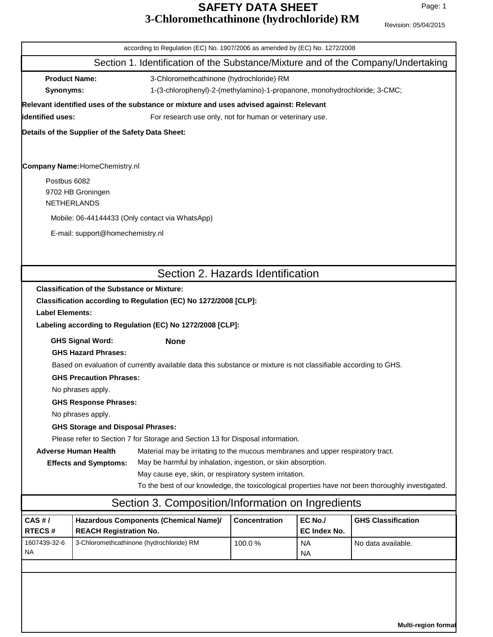## **SAFETY DATA SHEET** Page: 1 of 5 **3-Chloromethcathinone (hydrochloride) RM** Revision: 05/04/2015

| Section 1. Identification of the Substance/Mixture and of the Company/Undertaking<br><b>Product Name:</b><br>3-Chloromethcathinone (hydrochloride) RM<br>1-(3-chlorophenyl)-2-(methylamino)-1-propanone, monohydrochloride; 3-CMC;<br>Synonyms:<br>Relevant identified uses of the substance or mixture and uses advised against: Relevant<br>lidentified uses:<br>For research use only, not for human or veterinary use.<br>Details of the Supplier of the Safety Data Sheet:<br><b>Company Name: HomeChemistry.nl</b><br>Postbus 6082<br>9702 HB Groningen<br><b>NETHERLANDS</b><br>Mobile: 06-44144433 (Only contact via WhatsApp)<br>E-mail: support@homechemistry.nl<br>Section 2. Hazards Identification<br><b>Classification of the Substance or Mixture:</b><br>Classification according to Regulation (EC) No 1272/2008 [CLP]:<br><b>Label Elements:</b><br>Labeling according to Regulation (EC) No 1272/2008 [CLP]:<br><b>GHS Signal Word:</b><br><b>None</b><br><b>GHS Hazard Phrases:</b><br>Based on evaluation of currently available data this substance or mixture is not classifiable according to GHS.<br><b>GHS Precaution Phrases:</b> |  |  |  |  |
|--------------------------------------------------------------------------------------------------------------------------------------------------------------------------------------------------------------------------------------------------------------------------------------------------------------------------------------------------------------------------------------------------------------------------------------------------------------------------------------------------------------------------------------------------------------------------------------------------------------------------------------------------------------------------------------------------------------------------------------------------------------------------------------------------------------------------------------------------------------------------------------------------------------------------------------------------------------------------------------------------------------------------------------------------------------------------------------------------------------------------------------------------------------|--|--|--|--|
|                                                                                                                                                                                                                                                                                                                                                                                                                                                                                                                                                                                                                                                                                                                                                                                                                                                                                                                                                                                                                                                                                                                                                              |  |  |  |  |
|                                                                                                                                                                                                                                                                                                                                                                                                                                                                                                                                                                                                                                                                                                                                                                                                                                                                                                                                                                                                                                                                                                                                                              |  |  |  |  |
|                                                                                                                                                                                                                                                                                                                                                                                                                                                                                                                                                                                                                                                                                                                                                                                                                                                                                                                                                                                                                                                                                                                                                              |  |  |  |  |
|                                                                                                                                                                                                                                                                                                                                                                                                                                                                                                                                                                                                                                                                                                                                                                                                                                                                                                                                                                                                                                                                                                                                                              |  |  |  |  |
|                                                                                                                                                                                                                                                                                                                                                                                                                                                                                                                                                                                                                                                                                                                                                                                                                                                                                                                                                                                                                                                                                                                                                              |  |  |  |  |
|                                                                                                                                                                                                                                                                                                                                                                                                                                                                                                                                                                                                                                                                                                                                                                                                                                                                                                                                                                                                                                                                                                                                                              |  |  |  |  |
|                                                                                                                                                                                                                                                                                                                                                                                                                                                                                                                                                                                                                                                                                                                                                                                                                                                                                                                                                                                                                                                                                                                                                              |  |  |  |  |
|                                                                                                                                                                                                                                                                                                                                                                                                                                                                                                                                                                                                                                                                                                                                                                                                                                                                                                                                                                                                                                                                                                                                                              |  |  |  |  |
|                                                                                                                                                                                                                                                                                                                                                                                                                                                                                                                                                                                                                                                                                                                                                                                                                                                                                                                                                                                                                                                                                                                                                              |  |  |  |  |
|                                                                                                                                                                                                                                                                                                                                                                                                                                                                                                                                                                                                                                                                                                                                                                                                                                                                                                                                                                                                                                                                                                                                                              |  |  |  |  |
|                                                                                                                                                                                                                                                                                                                                                                                                                                                                                                                                                                                                                                                                                                                                                                                                                                                                                                                                                                                                                                                                                                                                                              |  |  |  |  |
|                                                                                                                                                                                                                                                                                                                                                                                                                                                                                                                                                                                                                                                                                                                                                                                                                                                                                                                                                                                                                                                                                                                                                              |  |  |  |  |
|                                                                                                                                                                                                                                                                                                                                                                                                                                                                                                                                                                                                                                                                                                                                                                                                                                                                                                                                                                                                                                                                                                                                                              |  |  |  |  |
|                                                                                                                                                                                                                                                                                                                                                                                                                                                                                                                                                                                                                                                                                                                                                                                                                                                                                                                                                                                                                                                                                                                                                              |  |  |  |  |
|                                                                                                                                                                                                                                                                                                                                                                                                                                                                                                                                                                                                                                                                                                                                                                                                                                                                                                                                                                                                                                                                                                                                                              |  |  |  |  |
|                                                                                                                                                                                                                                                                                                                                                                                                                                                                                                                                                                                                                                                                                                                                                                                                                                                                                                                                                                                                                                                                                                                                                              |  |  |  |  |
|                                                                                                                                                                                                                                                                                                                                                                                                                                                                                                                                                                                                                                                                                                                                                                                                                                                                                                                                                                                                                                                                                                                                                              |  |  |  |  |
|                                                                                                                                                                                                                                                                                                                                                                                                                                                                                                                                                                                                                                                                                                                                                                                                                                                                                                                                                                                                                                                                                                                                                              |  |  |  |  |
|                                                                                                                                                                                                                                                                                                                                                                                                                                                                                                                                                                                                                                                                                                                                                                                                                                                                                                                                                                                                                                                                                                                                                              |  |  |  |  |
|                                                                                                                                                                                                                                                                                                                                                                                                                                                                                                                                                                                                                                                                                                                                                                                                                                                                                                                                                                                                                                                                                                                                                              |  |  |  |  |
|                                                                                                                                                                                                                                                                                                                                                                                                                                                                                                                                                                                                                                                                                                                                                                                                                                                                                                                                                                                                                                                                                                                                                              |  |  |  |  |
| No phrases apply.                                                                                                                                                                                                                                                                                                                                                                                                                                                                                                                                                                                                                                                                                                                                                                                                                                                                                                                                                                                                                                                                                                                                            |  |  |  |  |
| <b>GHS Response Phrases:</b>                                                                                                                                                                                                                                                                                                                                                                                                                                                                                                                                                                                                                                                                                                                                                                                                                                                                                                                                                                                                                                                                                                                                 |  |  |  |  |
| No phrases apply.                                                                                                                                                                                                                                                                                                                                                                                                                                                                                                                                                                                                                                                                                                                                                                                                                                                                                                                                                                                                                                                                                                                                            |  |  |  |  |
| <b>GHS Storage and Disposal Phrases:</b>                                                                                                                                                                                                                                                                                                                                                                                                                                                                                                                                                                                                                                                                                                                                                                                                                                                                                                                                                                                                                                                                                                                     |  |  |  |  |
| Please refer to Section 7 for Storage and Section 13 for Disposal information.<br><b>Adverse Human Health</b>                                                                                                                                                                                                                                                                                                                                                                                                                                                                                                                                                                                                                                                                                                                                                                                                                                                                                                                                                                                                                                                |  |  |  |  |
| Material may be irritating to the mucous membranes and upper respiratory tract.<br>May be harmful by inhalation, ingestion, or skin absorption.<br><b>Effects and Symptoms:</b><br>May cause eye, skin, or respiratory system irritation.                                                                                                                                                                                                                                                                                                                                                                                                                                                                                                                                                                                                                                                                                                                                                                                                                                                                                                                    |  |  |  |  |
| To the best of our knowledge, the toxicological properties have not been thoroughly investigated.                                                                                                                                                                                                                                                                                                                                                                                                                                                                                                                                                                                                                                                                                                                                                                                                                                                                                                                                                                                                                                                            |  |  |  |  |
| Section 3. Composition/Information on Ingredients                                                                                                                                                                                                                                                                                                                                                                                                                                                                                                                                                                                                                                                                                                                                                                                                                                                                                                                                                                                                                                                                                                            |  |  |  |  |
| EC No./<br><b>Concentration</b><br><b>GHS Classification</b><br>CAS H/<br>Hazardous Components (Chemical Name)/<br><b>RTECS#</b><br><b>REACH Registration No.</b><br><b>EC Index No.</b>                                                                                                                                                                                                                                                                                                                                                                                                                                                                                                                                                                                                                                                                                                                                                                                                                                                                                                                                                                     |  |  |  |  |
| 3-Chloromethcathinone (hydrochloride) RM<br>1607439-32-6<br>100.0%<br><b>NA</b><br>No data available.<br>NA<br><b>NA</b>                                                                                                                                                                                                                                                                                                                                                                                                                                                                                                                                                                                                                                                                                                                                                                                                                                                                                                                                                                                                                                     |  |  |  |  |
|                                                                                                                                                                                                                                                                                                                                                                                                                                                                                                                                                                                                                                                                                                                                                                                                                                                                                                                                                                                                                                                                                                                                                              |  |  |  |  |
|                                                                                                                                                                                                                                                                                                                                                                                                                                                                                                                                                                                                                                                                                                                                                                                                                                                                                                                                                                                                                                                                                                                                                              |  |  |  |  |
|                                                                                                                                                                                                                                                                                                                                                                                                                                                                                                                                                                                                                                                                                                                                                                                                                                                                                                                                                                                                                                                                                                                                                              |  |  |  |  |
|                                                                                                                                                                                                                                                                                                                                                                                                                                                                                                                                                                                                                                                                                                                                                                                                                                                                                                                                                                                                                                                                                                                                                              |  |  |  |  |
|                                                                                                                                                                                                                                                                                                                                                                                                                                                                                                                                                                                                                                                                                                                                                                                                                                                                                                                                                                                                                                                                                                                                                              |  |  |  |  |

 $\mathsf{l}$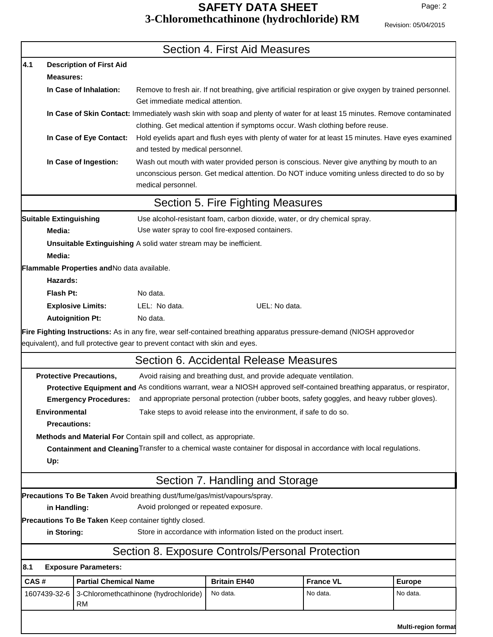**Multi-region format**

|      | Section 4. First Aid Measures                                                                                             |                                             |                                                                              |                                                                                                                                                                                             |                  |               |
|------|---------------------------------------------------------------------------------------------------------------------------|---------------------------------------------|------------------------------------------------------------------------------|---------------------------------------------------------------------------------------------------------------------------------------------------------------------------------------------|------------------|---------------|
| 4.1  |                                                                                                                           | <b>Description of First Aid</b>             |                                                                              |                                                                                                                                                                                             |                  |               |
|      | <b>Measures:</b>                                                                                                          |                                             |                                                                              |                                                                                                                                                                                             |                  |               |
|      |                                                                                                                           | In Case of Inhalation:                      | Get immediate medical attention.                                             | Remove to fresh air. If not breathing, give artificial respiration or give oxygen by trained personnel.                                                                                     |                  |               |
|      | In Case of Skin Contact: Immediately wash skin with soap and plenty of water for at least 15 minutes. Remove contaminated |                                             |                                                                              |                                                                                                                                                                                             |                  |               |
|      | clothing. Get medical attention if symptoms occur. Wash clothing before reuse.                                            |                                             |                                                                              |                                                                                                                                                                                             |                  |               |
|      |                                                                                                                           | In Case of Eye Contact:                     | and tested by medical personnel.                                             | Hold eyelids apart and flush eyes with plenty of water for at least 15 minutes. Have eyes examined                                                                                          |                  |               |
|      |                                                                                                                           | In Case of Ingestion:                       | medical personnel.                                                           | Wash out mouth with water provided person is conscious. Never give anything by mouth to an<br>unconscious person. Get medical attention. Do NOT induce vomiting unless directed to do so by |                  |               |
|      | Section 5. Fire Fighting Measures                                                                                         |                                             |                                                                              |                                                                                                                                                                                             |                  |               |
|      | <b>Suitable Extinguishing</b>                                                                                             |                                             |                                                                              | Use alcohol-resistant foam, carbon dioxide, water, or dry chemical spray.                                                                                                                   |                  |               |
|      | Media:                                                                                                                    |                                             |                                                                              | Use water spray to cool fire-exposed containers.                                                                                                                                            |                  |               |
|      | Unsuitable Extinguishing A solid water stream may be inefficient.<br>Media:                                               |                                             |                                                                              |                                                                                                                                                                                             |                  |               |
|      |                                                                                                                           | Flammable Properties and No data available. |                                                                              |                                                                                                                                                                                             |                  |               |
|      | Hazards:                                                                                                                  |                                             |                                                                              |                                                                                                                                                                                             |                  |               |
|      | Flash Pt:                                                                                                                 |                                             | No data.                                                                     |                                                                                                                                                                                             |                  |               |
|      |                                                                                                                           | <b>Explosive Limits:</b>                    | LEL: No data.                                                                | UEL: No data.                                                                                                                                                                               |                  |               |
|      |                                                                                                                           | <b>Autoignition Pt:</b>                     | No data.                                                                     |                                                                                                                                                                                             |                  |               |
|      |                                                                                                                           |                                             |                                                                              | Fire Fighting Instructions: As in any fire, wear self-contained breathing apparatus pressure-demand (NIOSH approvedor                                                                       |                  |               |
|      |                                                                                                                           |                                             | equivalent), and full protective gear to prevent contact with skin and eyes. |                                                                                                                                                                                             |                  |               |
|      | Section 6. Accidental Release Measures                                                                                    |                                             |                                                                              |                                                                                                                                                                                             |                  |               |
|      |                                                                                                                           | <b>Protective Precautions,</b>              |                                                                              | Avoid raising and breathing dust, and provide adequate ventilation.                                                                                                                         |                  |               |
|      |                                                                                                                           |                                             |                                                                              | Protective Equipment and As conditions warrant, wear a NIOSH approved self-contained breathing apparatus, or respirator,                                                                    |                  |               |
|      |                                                                                                                           | <b>Emergency Procedures:</b>                |                                                                              | and appropriate personal protection (rubber boots, safety goggles, and heavy rubber gloves).                                                                                                |                  |               |
|      | Take steps to avoid release into the environment, if safe to do so.<br><b>Environmental</b>                               |                                             |                                                                              |                                                                                                                                                                                             |                  |               |
|      | <b>Precautions:</b>                                                                                                       |                                             |                                                                              |                                                                                                                                                                                             |                  |               |
|      | Methods and Material For Contain spill and collect, as appropriate.                                                       |                                             |                                                                              |                                                                                                                                                                                             |                  |               |
|      | Containment and Cleaning Transfer to a chemical waste container for disposal in accordance with local regulations.        |                                             |                                                                              |                                                                                                                                                                                             |                  |               |
|      | Up:                                                                                                                       |                                             |                                                                              |                                                                                                                                                                                             |                  |               |
|      | Section 7. Handling and Storage                                                                                           |                                             |                                                                              |                                                                                                                                                                                             |                  |               |
|      | Precautions To Be Taken Avoid breathing dust/fume/gas/mist/vapours/spray.                                                 |                                             |                                                                              |                                                                                                                                                                                             |                  |               |
|      | Avoid prolonged or repeated exposure.<br>in Handling:                                                                     |                                             |                                                                              |                                                                                                                                                                                             |                  |               |
|      | Precautions To Be Taken Keep container tightly closed.                                                                    |                                             |                                                                              |                                                                                                                                                                                             |                  |               |
|      | Store in accordance with information listed on the product insert.<br>in Storing:                                         |                                             |                                                                              |                                                                                                                                                                                             |                  |               |
|      |                                                                                                                           |                                             |                                                                              | Section 8. Exposure Controls/Personal Protection                                                                                                                                            |                  |               |
| 8.1  | <b>Exposure Parameters:</b>                                                                                               |                                             |                                                                              |                                                                                                                                                                                             |                  |               |
| CAS# |                                                                                                                           | <b>Partial Chemical Name</b>                |                                                                              | <b>Britain EH40</b>                                                                                                                                                                         | <b>France VL</b> | <b>Europe</b> |
|      | 1607439-32-6                                                                                                              | RM                                          | 3-Chloromethcathinone (hydrochloride)                                        | No data.                                                                                                                                                                                    | No data.         | No data.      |
|      |                                                                                                                           |                                             |                                                                              |                                                                                                                                                                                             |                  |               |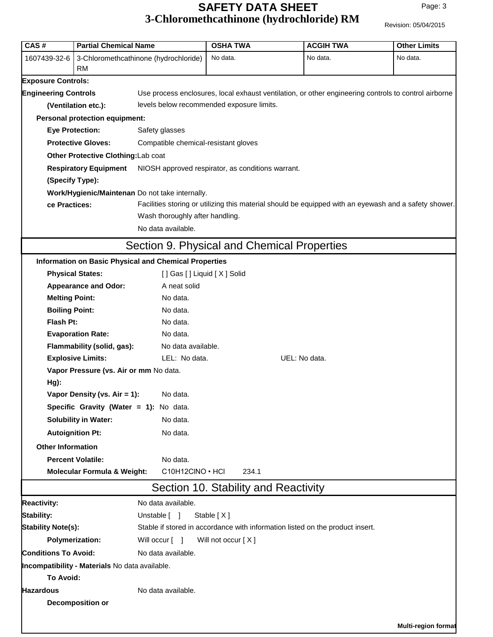## **SAFETY DATA SHEET** Page: 3 of 5 **3-Chloromethcathinone (hydrochloride) RM** Revision: 05/04/2015

| CAS#                                                                                                                                                       | <b>Partial Chemical Name</b>                   |                                                                                                             | <b>OSHA TWA</b>                             | <b>ACGIH TWA</b>                                                                                     | <b>Other Limits</b>        |  |  |               |  |                                                                                                                                          |  |  |  |
|------------------------------------------------------------------------------------------------------------------------------------------------------------|------------------------------------------------|-------------------------------------------------------------------------------------------------------------|---------------------------------------------|------------------------------------------------------------------------------------------------------|----------------------------|--|--|---------------|--|------------------------------------------------------------------------------------------------------------------------------------------|--|--|--|
| 3-Chloromethcathinone (hydrochloride)<br>1607439-32-6<br>RM                                                                                                |                                                |                                                                                                             | No data.                                    | No data.                                                                                             | No data.                   |  |  |               |  |                                                                                                                                          |  |  |  |
| <b>Exposure Controls:</b>                                                                                                                                  |                                                |                                                                                                             |                                             |                                                                                                      |                            |  |  |               |  |                                                                                                                                          |  |  |  |
| <b>Engineering Controls</b>                                                                                                                                |                                                |                                                                                                             |                                             | Use process enclosures, local exhaust ventilation, or other engineering controls to control airborne |                            |  |  |               |  |                                                                                                                                          |  |  |  |
| (Ventilation etc.):                                                                                                                                        |                                                |                                                                                                             | levels below recommended exposure limits.   |                                                                                                      |                            |  |  |               |  |                                                                                                                                          |  |  |  |
|                                                                                                                                                            | <b>Personal protection equipment:</b>          |                                                                                                             |                                             |                                                                                                      |                            |  |  |               |  |                                                                                                                                          |  |  |  |
| <b>Eye Protection:</b><br><b>Protective Gloves:</b><br>Other Protective Clothing:Lab coat<br><b>Respiratory Equipment</b><br>(Specify Type):               |                                                | Safety glasses<br>Compatible chemical-resistant gloves<br>NIOSH approved respirator, as conditions warrant. |                                             |                                                                                                      |                            |  |  |               |  |                                                                                                                                          |  |  |  |
|                                                                                                                                                            |                                                |                                                                                                             |                                             |                                                                                                      |                            |  |  |               |  |                                                                                                                                          |  |  |  |
|                                                                                                                                                            |                                                |                                                                                                             |                                             |                                                                                                      |                            |  |  |               |  | Work/Hygienic/Maintenan Do not take internally.                                                                                          |  |  |  |
|                                                                                                                                                            |                                                |                                                                                                             |                                             |                                                                                                      |                            |  |  | ce Practices: |  | Facilities storing or utilizing this material should be equipped with an eyewash and a safety shower.<br>Wash thoroughly after handling. |  |  |  |
|                                                                                                                                                            |                                                |                                                                                                             |                                             | No data available.                                                                                   |                            |  |  |               |  |                                                                                                                                          |  |  |  |
|                                                                                                                                                            |                                                |                                                                                                             | Section 9. Physical and Chemical Properties |                                                                                                      |                            |  |  |               |  |                                                                                                                                          |  |  |  |
|                                                                                                                                                            |                                                | <b>Information on Basic Physical and Chemical Properties</b>                                                |                                             |                                                                                                      |                            |  |  |               |  |                                                                                                                                          |  |  |  |
|                                                                                                                                                            | <b>Physical States:</b>                        | [] Gas [] Liquid [X] Solid                                                                                  |                                             |                                                                                                      |                            |  |  |               |  |                                                                                                                                          |  |  |  |
|                                                                                                                                                            | <b>Appearance and Odor:</b>                    | A neat solid                                                                                                |                                             |                                                                                                      |                            |  |  |               |  |                                                                                                                                          |  |  |  |
| <b>Melting Point:</b>                                                                                                                                      |                                                | No data.                                                                                                    |                                             |                                                                                                      |                            |  |  |               |  |                                                                                                                                          |  |  |  |
| <b>Boiling Point:</b>                                                                                                                                      |                                                | No data.                                                                                                    |                                             |                                                                                                      |                            |  |  |               |  |                                                                                                                                          |  |  |  |
| Flash Pt:                                                                                                                                                  |                                                | No data.                                                                                                    |                                             |                                                                                                      |                            |  |  |               |  |                                                                                                                                          |  |  |  |
|                                                                                                                                                            | <b>Evaporation Rate:</b>                       | No data.                                                                                                    |                                             |                                                                                                      |                            |  |  |               |  |                                                                                                                                          |  |  |  |
|                                                                                                                                                            | Flammability (solid, gas):                     | No data available.                                                                                          |                                             |                                                                                                      |                            |  |  |               |  |                                                                                                                                          |  |  |  |
|                                                                                                                                                            | <b>Explosive Limits:</b>                       | LEL: No data.                                                                                               |                                             | UEL: No data.                                                                                        |                            |  |  |               |  |                                                                                                                                          |  |  |  |
| Vapor Pressure (vs. Air or mm No data.<br>$Hg$ ):<br>Vapor Density (vs. Air = 1):<br>Specific Gravity (Water = 1): No data.<br><b>Solubility in Water:</b> |                                                |                                                                                                             |                                             |                                                                                                      |                            |  |  |               |  |                                                                                                                                          |  |  |  |
|                                                                                                                                                            |                                                | No data.                                                                                                    |                                             |                                                                                                      |                            |  |  |               |  |                                                                                                                                          |  |  |  |
|                                                                                                                                                            |                                                |                                                                                                             |                                             |                                                                                                      |                            |  |  |               |  |                                                                                                                                          |  |  |  |
|                                                                                                                                                            |                                                | No data.                                                                                                    |                                             |                                                                                                      |                            |  |  |               |  |                                                                                                                                          |  |  |  |
|                                                                                                                                                            | <b>Autoignition Pt:</b>                        | No data.                                                                                                    |                                             |                                                                                                      |                            |  |  |               |  |                                                                                                                                          |  |  |  |
| <b>Other Information</b>                                                                                                                                   |                                                |                                                                                                             |                                             |                                                                                                      |                            |  |  |               |  |                                                                                                                                          |  |  |  |
|                                                                                                                                                            | <b>Percent Volatile:</b>                       | No data.                                                                                                    |                                             |                                                                                                      |                            |  |  |               |  |                                                                                                                                          |  |  |  |
|                                                                                                                                                            | <b>Molecular Formula &amp; Weight:</b>         | C10H12CINO · HCI                                                                                            | 234.1                                       |                                                                                                      |                            |  |  |               |  |                                                                                                                                          |  |  |  |
|                                                                                                                                                            |                                                |                                                                                                             | Section 10. Stability and Reactivity        |                                                                                                      |                            |  |  |               |  |                                                                                                                                          |  |  |  |
| <b>Reactivity:</b>                                                                                                                                         |                                                | No data available.                                                                                          |                                             |                                                                                                      |                            |  |  |               |  |                                                                                                                                          |  |  |  |
| <b>Stability:</b>                                                                                                                                          |                                                | Unstable [ ]                                                                                                | Stable [X]                                  |                                                                                                      |                            |  |  |               |  |                                                                                                                                          |  |  |  |
| <b>Stability Note(s):</b>                                                                                                                                  |                                                |                                                                                                             |                                             | Stable if stored in accordance with information listed on the product insert.                        |                            |  |  |               |  |                                                                                                                                          |  |  |  |
|                                                                                                                                                            | <b>Polymerization:</b>                         | Will occur [ ]                                                                                              | Will not occur [X]                          |                                                                                                      |                            |  |  |               |  |                                                                                                                                          |  |  |  |
| <b>Conditions To Avoid:</b>                                                                                                                                |                                                | No data available.                                                                                          |                                             |                                                                                                      |                            |  |  |               |  |                                                                                                                                          |  |  |  |
|                                                                                                                                                            | Incompatibility - Materials No data available. |                                                                                                             |                                             |                                                                                                      |                            |  |  |               |  |                                                                                                                                          |  |  |  |
| <b>To Avoid:</b>                                                                                                                                           |                                                |                                                                                                             |                                             |                                                                                                      |                            |  |  |               |  |                                                                                                                                          |  |  |  |
| <b>Hazardous</b>                                                                                                                                           |                                                | No data available.                                                                                          |                                             |                                                                                                      |                            |  |  |               |  |                                                                                                                                          |  |  |  |
|                                                                                                                                                            | <b>Decomposition or</b>                        |                                                                                                             |                                             |                                                                                                      |                            |  |  |               |  |                                                                                                                                          |  |  |  |
|                                                                                                                                                            |                                                |                                                                                                             |                                             |                                                                                                      |                            |  |  |               |  |                                                                                                                                          |  |  |  |
|                                                                                                                                                            |                                                |                                                                                                             |                                             |                                                                                                      | <b>Multi-region format</b> |  |  |               |  |                                                                                                                                          |  |  |  |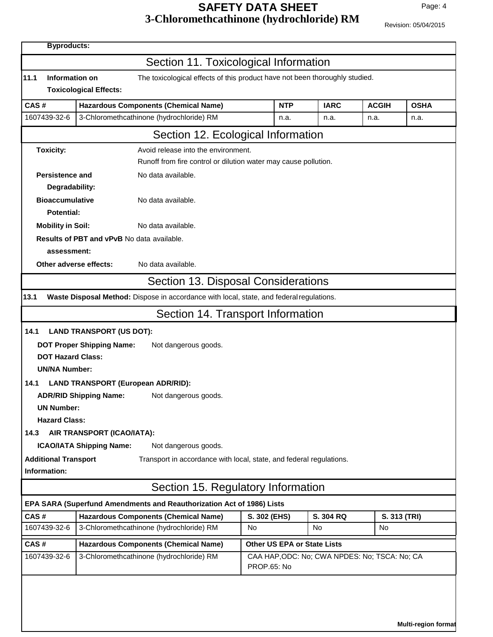## **SAFETY DATA SHEET** Page: 4 of 5 **3-Chloromethcathinone (hydrochloride) RM** Revision: 05/04/2015

|                                                                                                       |                                                                                          | <b>Byproducts:</b>          |                                               |              |              |  |  |
|-------------------------------------------------------------------------------------------------------|------------------------------------------------------------------------------------------|-----------------------------|-----------------------------------------------|--------------|--------------|--|--|
|                                                                                                       | Section 11. Toxicological Information                                                    |                             |                                               |              |              |  |  |
| 11.1<br>Information on<br>The toxicological effects of this product have not been thoroughly studied. |                                                                                          |                             |                                               |              |              |  |  |
|                                                                                                       | <b>Toxicological Effects:</b>                                                            |                             |                                               |              |              |  |  |
| CAS#                                                                                                  | <b>Hazardous Components (Chemical Name)</b>                                              | <b>NTP</b>                  | <b>IARC</b>                                   | <b>ACGIH</b> | <b>OSHA</b>  |  |  |
| 1607439-32-6                                                                                          | 3-Chloromethcathinone (hydrochloride) RM                                                 | n.a.                        | n.a.                                          | n.a.         | n.a.         |  |  |
| Section 12. Ecological Information                                                                    |                                                                                          |                             |                                               |              |              |  |  |
| Avoid release into the environment.<br><b>Toxicity:</b>                                               |                                                                                          |                             |                                               |              |              |  |  |
|                                                                                                       | Runoff from fire control or dilution water may cause pollution.                          |                             |                                               |              |              |  |  |
| Persistence and                                                                                       | No data available.                                                                       |                             |                                               |              |              |  |  |
| Degradability:                                                                                        |                                                                                          |                             |                                               |              |              |  |  |
| <b>Bioaccumulative</b><br>No data available.                                                          |                                                                                          |                             |                                               |              |              |  |  |
|                                                                                                       | <b>Potential:</b>                                                                        |                             |                                               |              |              |  |  |
| <b>Mobility in Soil:</b>                                                                              | No data available.                                                                       |                             |                                               |              |              |  |  |
| assessment:                                                                                           | <b>Results of PBT and vPvB No data available.</b>                                        |                             |                                               |              |              |  |  |
| Other adverse effects:                                                                                | No data available.                                                                       |                             |                                               |              |              |  |  |
|                                                                                                       |                                                                                          |                             |                                               |              |              |  |  |
|                                                                                                       | Section 13. Disposal Considerations                                                      |                             |                                               |              |              |  |  |
| 13.1                                                                                                  | Waste Disposal Method: Dispose in accordance with local, state, and federal regulations. |                             |                                               |              |              |  |  |
| Section 14. Transport Information                                                                     |                                                                                          |                             |                                               |              |              |  |  |
| 14.1<br><b>LAND TRANSPORT (US DOT):</b>                                                               |                                                                                          |                             |                                               |              |              |  |  |
| <b>DOT Proper Shipping Name:</b><br>Not dangerous goods.                                              |                                                                                          |                             |                                               |              |              |  |  |
| <b>DOT Hazard Class:</b>                                                                              |                                                                                          |                             |                                               |              |              |  |  |
| <b>UN/NA Number:</b>                                                                                  |                                                                                          |                             |                                               |              |              |  |  |
| <b>LAND TRANSPORT (European ADR/RID):</b><br>14.1                                                     |                                                                                          |                             |                                               |              |              |  |  |
| <b>ADR/RID Shipping Name:</b><br>Not dangerous goods.                                                 |                                                                                          |                             |                                               |              |              |  |  |
| <b>UN Number:</b>                                                                                     |                                                                                          |                             |                                               |              |              |  |  |
| <b>Hazard Class:</b>                                                                                  |                                                                                          |                             |                                               |              |              |  |  |
| AIR TRANSPORT (ICAO/IATA):<br>14.3                                                                    |                                                                                          |                             |                                               |              |              |  |  |
| <b>ICAO/IATA Shipping Name:</b><br>Not dangerous goods.                                               |                                                                                          |                             |                                               |              |              |  |  |
| <b>Additional Transport</b><br>Transport in accordance with local, state, and federal regulations.    |                                                                                          |                             |                                               |              |              |  |  |
| Information:                                                                                          |                                                                                          |                             |                                               |              |              |  |  |
|                                                                                                       | Section 15. Regulatory Information                                                       |                             |                                               |              |              |  |  |
|                                                                                                       | EPA SARA (Superfund Amendments and Reauthorization Act of 1986) Lists                    |                             |                                               |              |              |  |  |
| CAS#                                                                                                  | <b>Hazardous Components (Chemical Name)</b>                                              | S. 302 (EHS)                | S. 304 RQ                                     |              | S. 313 (TRI) |  |  |
| 1607439-32-6                                                                                          | 3-Chloromethcathinone (hydrochloride) RM                                                 | No                          | No                                            | No.          |              |  |  |
| CAS#                                                                                                  | <b>Hazardous Components (Chemical Name)</b>                                              | Other US EPA or State Lists |                                               |              |              |  |  |
| 1607439-32-6                                                                                          | 3-Chloromethcathinone (hydrochloride) RM                                                 | <b>PROP.65: No</b>          | CAA HAP, ODC: No; CWA NPDES: No; TSCA: No; CA |              |              |  |  |
|                                                                                                       |                                                                                          |                             |                                               |              |              |  |  |
|                                                                                                       |                                                                                          |                             |                                               |              |              |  |  |
|                                                                                                       |                                                                                          |                             |                                               |              |              |  |  |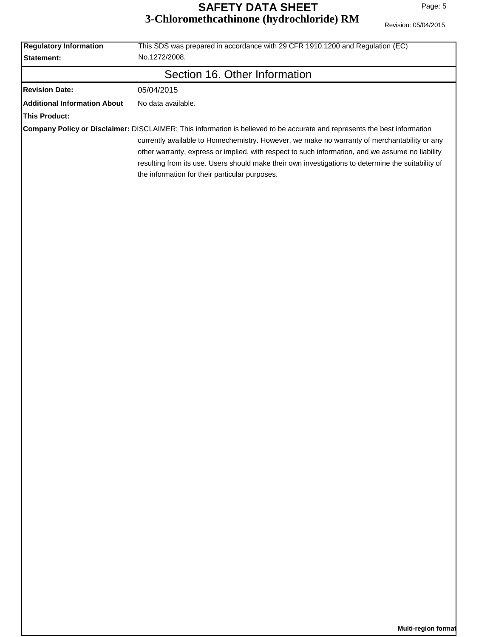| Revision: 05/04/2015 |
|----------------------|
|                      |

| <b>Regulatory Information</b><br>Statement: | This SDS was prepared in accordance with 29 CFR 1910.1200 and Regulation (EC)<br>No.1272/2008.                                                                                                                                                                                                                                                                                                                                                                                        |  |  |  |
|---------------------------------------------|---------------------------------------------------------------------------------------------------------------------------------------------------------------------------------------------------------------------------------------------------------------------------------------------------------------------------------------------------------------------------------------------------------------------------------------------------------------------------------------|--|--|--|
| Section 16. Other Information               |                                                                                                                                                                                                                                                                                                                                                                                                                                                                                       |  |  |  |
| <b>Revision Date:</b>                       | 05/04/2015                                                                                                                                                                                                                                                                                                                                                                                                                                                                            |  |  |  |
| <b>Additional Information About</b>         | No data available.                                                                                                                                                                                                                                                                                                                                                                                                                                                                    |  |  |  |
| <b>This Product:</b>                        |                                                                                                                                                                                                                                                                                                                                                                                                                                                                                       |  |  |  |
|                                             | Company Policy or Disclaimer: DISCLAIMER: This information is believed to be accurate and represents the best information<br>currently available to Homechemistry. However, we make no warranty of merchantability or any<br>other warranty, express or implied, with respect to such information, and we assume no liability<br>resulting from its use. Users should make their own investigations to determine the suitability of<br>the information for their particular purposes. |  |  |  |
|                                             |                                                                                                                                                                                                                                                                                                                                                                                                                                                                                       |  |  |  |
|                                             |                                                                                                                                                                                                                                                                                                                                                                                                                                                                                       |  |  |  |